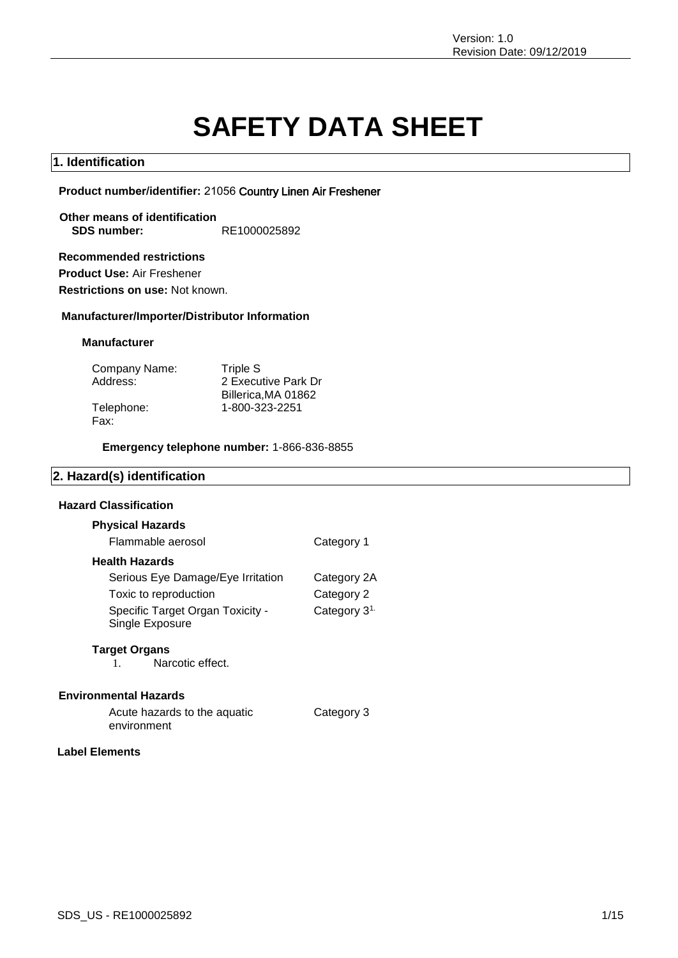# **SAFETY DATA SHEET**

Category 3

### **1. Identification**

**Product number/identifier:** 21056 Country Linen Air Freshener

**Other means of identification SDS number:** RE1000025892

**Recommended restrictions Product Use:** Air Freshener

**Restrictions on use:** Not known.

### **Manufacturer/Importer/Distributor Information**

### **Manufacturer**

| Company Name: | Triple S            |
|---------------|---------------------|
| Address:      | 2 Executive Park Dr |
|               | Billerica, MA 01862 |
| Telephone:    | 1-800-323-2251      |
| Fax:          |                     |

**Emergency telephone number:** 1-866-836-8855

### **2. Hazard(s) identification**

### **Hazard Classification**

| Category 1               |
|--------------------------|
|                          |
| Category 2A              |
| Category 2               |
| Category 3 <sup>1.</sup> |
|                          |

### **Target Organs**

1. Narcotic effect.

### **Environmental Hazards**

Acute hazards to the aquatic environment

### **Label Elements**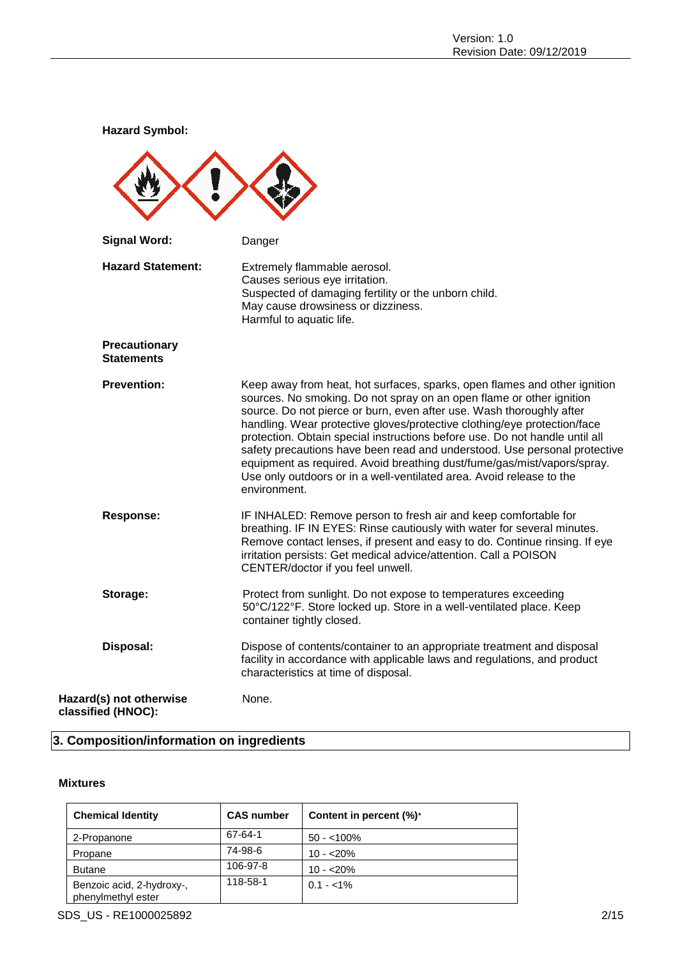**Hazard Symbol: Signal Word:** Danger **Hazard Statement:** Extremely flammable aerosol. Causes serious eye irritation. Suspected of damaging fertility or the unborn child. May cause drowsiness or dizziness. Harmful to aquatic life. **Precautionary Statements Prevention:** Keep away from heat, hot surfaces, sparks, open flames and other ignition sources. No smoking. Do not spray on an open flame or other ignition source. Do not pierce or burn, even after use. Wash thoroughly after handling. Wear protective gloves/protective clothing/eye protection/face protection. Obtain special instructions before use. Do not handle until all safety precautions have been read and understood. Use personal protective equipment as required. Avoid breathing dust/fume/gas/mist/vapors/spray. Use only outdoors or in a well-ventilated area. Avoid release to the environment. **Response:** IF INHALED: Remove person to fresh air and keep comfortable for breathing. IF IN EYES: Rinse cautiously with water for several minutes. Remove contact lenses, if present and easy to do. Continue rinsing. If eye irritation persists: Get medical advice/attention. Call a POISON CENTER/doctor if you feel unwell. **Storage:** Protect from sunlight. Do not expose to temperatures exceeding 50°C/122°F. Store locked up. Store in a well-ventilated place. Keep container tightly closed. **Disposal:** Dispose of contents/container to an appropriate treatment and disposal facility in accordance with applicable laws and regulations, and product characteristics at time of disposal. **Hazard(s) not otherwise classified (HNOC):** None.

### **3. Composition/information on ingredients**

### **Mixtures**

| <b>Chemical Identity</b>                        | <b>CAS number</b> | Content in percent (%)* |
|-------------------------------------------------|-------------------|-------------------------|
| 2-Propanone                                     | 67-64-1           | $50 - 100\%$            |
| Propane                                         | 74-98-6           | $10 - 20%$              |
| <b>Butane</b>                                   | 106-97-8          | $10 - 20%$              |
| Benzoic acid, 2-hydroxy-,<br>phenylmethyl ester | 118-58-1          | $0.1 - 1\%$             |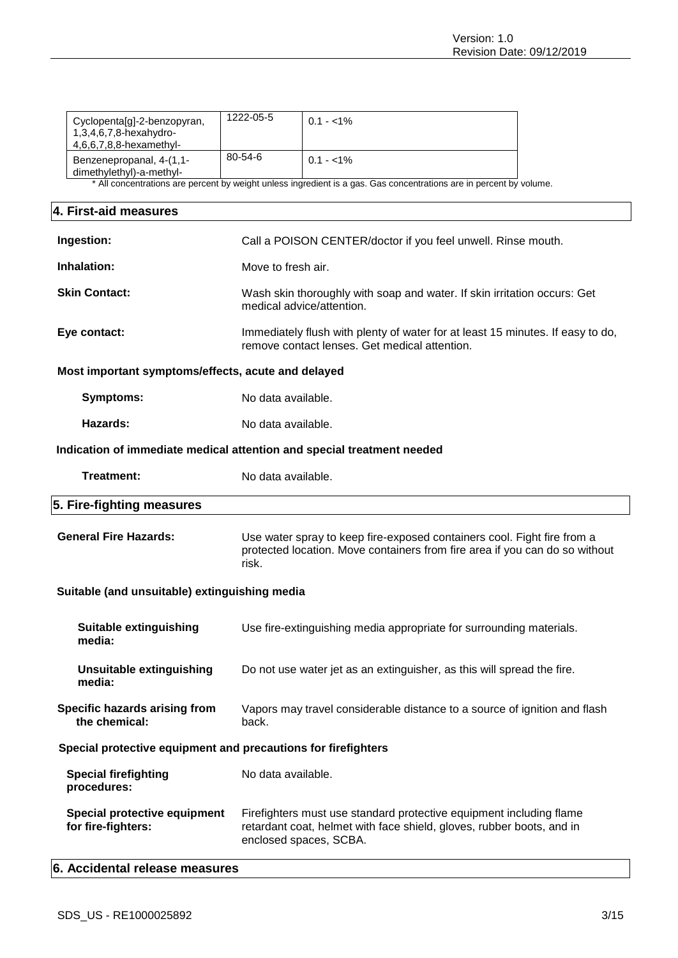| Cyclopenta[g]-2-benzopyran,                                            |                                                                                                                                                                 |                                                                                                                     |  |
|------------------------------------------------------------------------|-----------------------------------------------------------------------------------------------------------------------------------------------------------------|---------------------------------------------------------------------------------------------------------------------|--|
| 1,3,4,6,7,8-hexahydro-<br>4,6,6,7,8,8-hexamethyl-                      | 1222-05-5                                                                                                                                                       | $0.1 - 1\%$                                                                                                         |  |
| Benzenepropanal, 4-(1,1-<br>dimethylethyl)-a-methyl-                   | 80-54-6                                                                                                                                                         | $0.1 - 1\%$                                                                                                         |  |
|                                                                        |                                                                                                                                                                 | * All concentrations are percent by weight unless ingredient is a gas. Gas concentrations are in percent by volume. |  |
| 4. First-aid measures                                                  |                                                                                                                                                                 |                                                                                                                     |  |
| Ingestion:                                                             | Call a POISON CENTER/doctor if you feel unwell. Rinse mouth.                                                                                                    |                                                                                                                     |  |
| Inhalation:                                                            | Move to fresh air.                                                                                                                                              |                                                                                                                     |  |
| <b>Skin Contact:</b>                                                   | Wash skin thoroughly with soap and water. If skin irritation occurs: Get<br>medical advice/attention.                                                           |                                                                                                                     |  |
| Eye contact:                                                           | Immediately flush with plenty of water for at least 15 minutes. If easy to do,<br>remove contact lenses. Get medical attention.                                 |                                                                                                                     |  |
| Most important symptoms/effects, acute and delayed                     |                                                                                                                                                                 |                                                                                                                     |  |
| <b>Symptoms:</b>                                                       | No data available.                                                                                                                                              |                                                                                                                     |  |
| Hazards:                                                               | No data available.                                                                                                                                              |                                                                                                                     |  |
| Indication of immediate medical attention and special treatment needed |                                                                                                                                                                 |                                                                                                                     |  |
| <b>Treatment:</b>                                                      | No data available.                                                                                                                                              |                                                                                                                     |  |
| 5. Fire-fighting measures                                              |                                                                                                                                                                 |                                                                                                                     |  |
| <b>General Fire Hazards:</b>                                           | Use water spray to keep fire-exposed containers cool. Fight fire from a<br>protected location. Move containers from fire area if you can do so without<br>risk. |                                                                                                                     |  |
|                                                                        |                                                                                                                                                                 |                                                                                                                     |  |
| Suitable (and unsuitable) extinguishing media                          |                                                                                                                                                                 |                                                                                                                     |  |
| <b>Suitable extinguishing</b><br>media:                                |                                                                                                                                                                 | Use fire-extinguishing media appropriate for surrounding materials.                                                 |  |
| <b>Unsuitable extinguishing</b><br>media:                              |                                                                                                                                                                 | Do not use water jet as an extinguisher, as this will spread the fire.                                              |  |
| Specific hazards arising from<br>the chemical:                         | back.                                                                                                                                                           | Vapors may travel considerable distance to a source of ignition and flash                                           |  |
| Special protective equipment and precautions for firefighters          |                                                                                                                                                                 |                                                                                                                     |  |
| <b>Special firefighting</b><br>procedures:                             | No data available.                                                                                                                                              |                                                                                                                     |  |

### **6. Accidental release measures**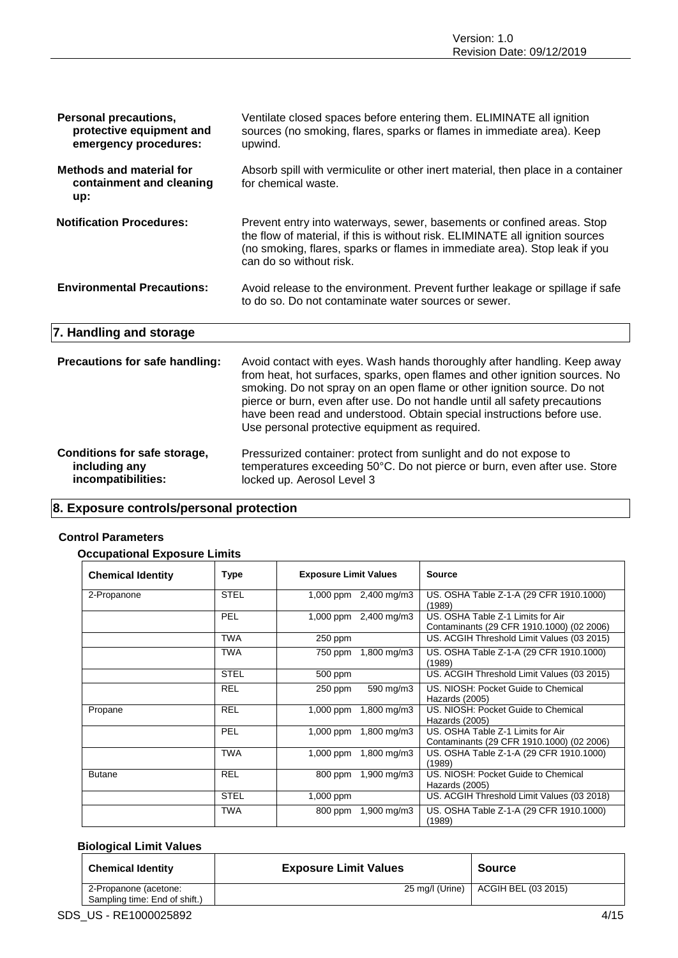| <b>Personal precautions,</b><br>protective equipment and<br>emergency procedures: | Ventilate closed spaces before entering them. ELIMINATE all ignition<br>sources (no smoking, flares, sparks or flames in immediate area). Keep<br>upwind.                                                                                                                                                                                                                                  |
|-----------------------------------------------------------------------------------|--------------------------------------------------------------------------------------------------------------------------------------------------------------------------------------------------------------------------------------------------------------------------------------------------------------------------------------------------------------------------------------------|
| <b>Methods and material for</b><br>containment and cleaning<br>up:                | Absorb spill with vermiculite or other inert material, then place in a container<br>for chemical waste.                                                                                                                                                                                                                                                                                    |
| <b>Notification Procedures:</b>                                                   | Prevent entry into waterways, sewer, basements or confined areas. Stop<br>the flow of material, if this is without risk. ELIMINATE all ignition sources<br>(no smoking, flares, sparks or flames in immediate area). Stop leak if you<br>can do so without risk.                                                                                                                           |
| <b>Environmental Precautions:</b>                                                 | Avoid release to the environment. Prevent further leakage or spillage if safe<br>to do so. Do not contaminate water sources or sewer.                                                                                                                                                                                                                                                      |
| 7. Handling and storage                                                           |                                                                                                                                                                                                                                                                                                                                                                                            |
| Precautions for safe handling:                                                    | Avoid contact with eyes. Wash hands thoroughly after handling. Keep away<br>from heat, hot surfaces, sparks, open flames and other ignition sources. No<br>smoking. Do not spray on an open flame or other ignition source. Do not<br>pierce or burn, even after use. Do not handle until all safety precautions<br>have been read and understood. Obtain special instructions before use. |

| Conditions for safe storage, | Pressurized container: protect from sunlight and do not expose to         |
|------------------------------|---------------------------------------------------------------------------|
| including any                | temperatures exceeding 50°C. Do not pierce or burn, even after use. Store |
| incompatibilities:           | locked up. Aerosol Level 3                                                |

Use personal protective equipment as required.

### **8. Exposure controls/personal protection**

### **Control Parameters**

### **Occupational Exposure Limits**

| <b>Chemical Identity</b> | Type        | <b>Exposure Limit Values</b> | <b>Source</b>                                                                  |
|--------------------------|-------------|------------------------------|--------------------------------------------------------------------------------|
| 2-Propanone              | <b>STEL</b> | 1,000 ppm $2,400$ mg/m3      | US. OSHA Table Z-1-A (29 CFR 1910.1000)<br>(1989)                              |
|                          | <b>PEL</b>  | 1,000 ppm 2,400 mg/m3        | US. OSHA Table Z-1 Limits for Air<br>Contaminants (29 CFR 1910.1000) (02 2006) |
|                          | <b>TWA</b>  | $250$ ppm                    | US. ACGIH Threshold Limit Values (03 2015)                                     |
|                          | <b>TWA</b>  | 750 ppm 1,800 mg/m3          | US. OSHA Table Z-1-A (29 CFR 1910.1000)<br>(1989)                              |
|                          | <b>STEL</b> | 500 ppm                      | US. ACGIH Threshold Limit Values (03 2015)                                     |
|                          | <b>REL</b>  | 590 mg/m3<br>250 ppm         | US. NIOSH: Pocket Guide to Chemical<br>Hazards (2005)                          |
| Propane                  | <b>REL</b>  | $1,000$ ppm<br>1,800 mg/m3   | US. NIOSH: Pocket Guide to Chemical<br>Hazards (2005)                          |
|                          | <b>PEL</b>  | 1,000 ppm 1,800 mg/m3        | US, OSHA Table Z-1 Limits for Air<br>Contaminants (29 CFR 1910.1000) (02 2006) |
|                          | <b>TWA</b>  | 1,000 ppm 1,800 mg/m3        | US. OSHA Table Z-1-A (29 CFR 1910.1000)<br>(1989)                              |
| <b>Butane</b>            | <b>REL</b>  | 800 ppm 1,900 mg/m3          | US. NIOSH: Pocket Guide to Chemical<br>Hazards (2005)                          |
|                          | <b>STEL</b> | $1,000$ ppm                  | US. ACGIH Threshold Limit Values (03 2018)                                     |
|                          | <b>TWA</b>  | 800 ppm 1,900 mg/m3          | US. OSHA Table Z-1-A (29 CFR 1910.1000)<br>(1989)                              |

### **Biological Limit Values**

| <b>Chemical Identity</b>                               | <b>Exposure Limit Values</b> | <b>Source</b>                         |
|--------------------------------------------------------|------------------------------|---------------------------------------|
| 2-Propanone (acetone:<br>Sampling time: End of shift.) |                              | 25 mg/l (Urine)   ACGIH BEL (03 2015) |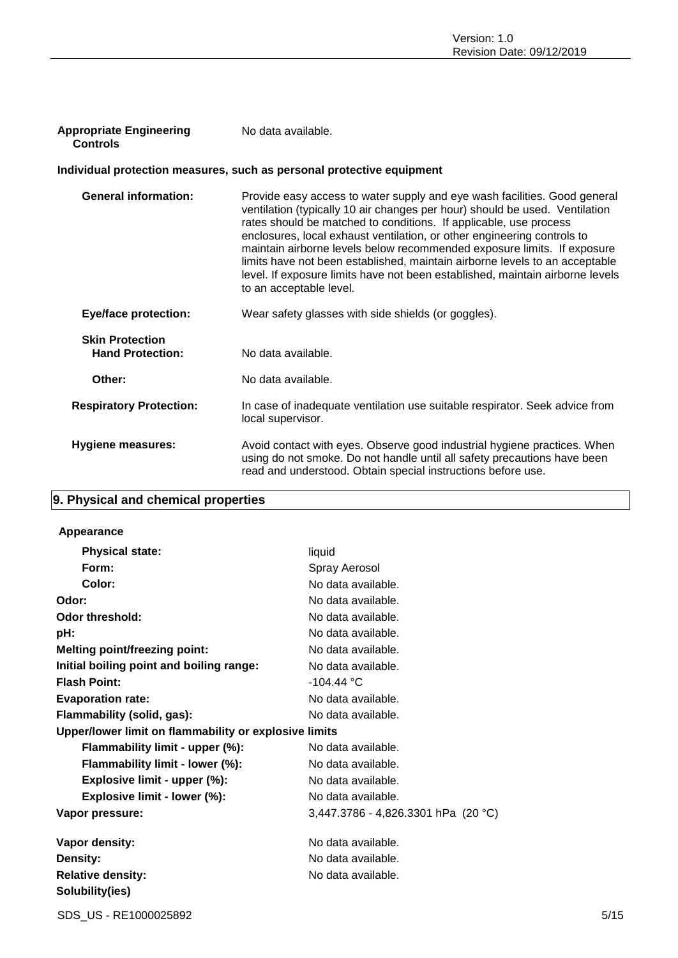| <b>Appropriate Engineering</b> | No data available. |
|--------------------------------|--------------------|
| Controls                       |                    |

### **Individual protection measures, such as personal protective equipment**

| <b>General information:</b>                       | Provide easy access to water supply and eye wash facilities. Good general<br>ventilation (typically 10 air changes per hour) should be used. Ventilation<br>rates should be matched to conditions. If applicable, use process<br>enclosures, local exhaust ventilation, or other engineering controls to<br>maintain airborne levels below recommended exposure limits. If exposure<br>limits have not been established, maintain airborne levels to an acceptable<br>level. If exposure limits have not been established, maintain airborne levels<br>to an acceptable level. |
|---------------------------------------------------|--------------------------------------------------------------------------------------------------------------------------------------------------------------------------------------------------------------------------------------------------------------------------------------------------------------------------------------------------------------------------------------------------------------------------------------------------------------------------------------------------------------------------------------------------------------------------------|
| <b>Eye/face protection:</b>                       | Wear safety glasses with side shields (or goggles).                                                                                                                                                                                                                                                                                                                                                                                                                                                                                                                            |
| <b>Skin Protection</b><br><b>Hand Protection:</b> | No data available.                                                                                                                                                                                                                                                                                                                                                                                                                                                                                                                                                             |
| Other:                                            | No data available.                                                                                                                                                                                                                                                                                                                                                                                                                                                                                                                                                             |
| <b>Respiratory Protection:</b>                    | In case of inadequate ventilation use suitable respirator. Seek advice from<br>local supervisor.                                                                                                                                                                                                                                                                                                                                                                                                                                                                               |
| <b>Hygiene measures:</b>                          | Avoid contact with eyes. Observe good industrial hygiene practices. When<br>using do not smoke. Do not handle until all safety precautions have been<br>read and understood. Obtain special instructions before use.                                                                                                                                                                                                                                                                                                                                                           |

### **9. Physical and chemical properties**

### **Appearance**

| <b>Physical state:</b>                                | liquid                              |
|-------------------------------------------------------|-------------------------------------|
| Form:                                                 | Spray Aerosol                       |
| Color:                                                | No data available.                  |
| Odor:                                                 | No data available.                  |
| <b>Odor threshold:</b>                                | No data available.                  |
| pH:                                                   | No data available.                  |
| <b>Melting point/freezing point:</b>                  | No data available.                  |
| Initial boiling point and boiling range:              | No data available.                  |
| <b>Flash Point:</b>                                   | $-104.44 °C$                        |
| <b>Evaporation rate:</b>                              | No data available.                  |
| Flammability (solid, gas):                            | No data available.                  |
| Upper/lower limit on flammability or explosive limits |                                     |
| Flammability limit - upper (%):                       | No data available.                  |
| Flammability limit - lower (%):                       | No data available.                  |
| Explosive limit - upper (%):                          | No data available.                  |
| Explosive limit - lower (%):                          | No data available.                  |
| Vapor pressure:                                       | 3,447.3786 - 4,826.3301 hPa (20 °C) |
| Vapor density:                                        | No data available.                  |
| Density:                                              | No data available.                  |
| <b>Relative density:</b>                              | No data available.                  |
| Solubility(ies)                                       |                                     |
|                                                       |                                     |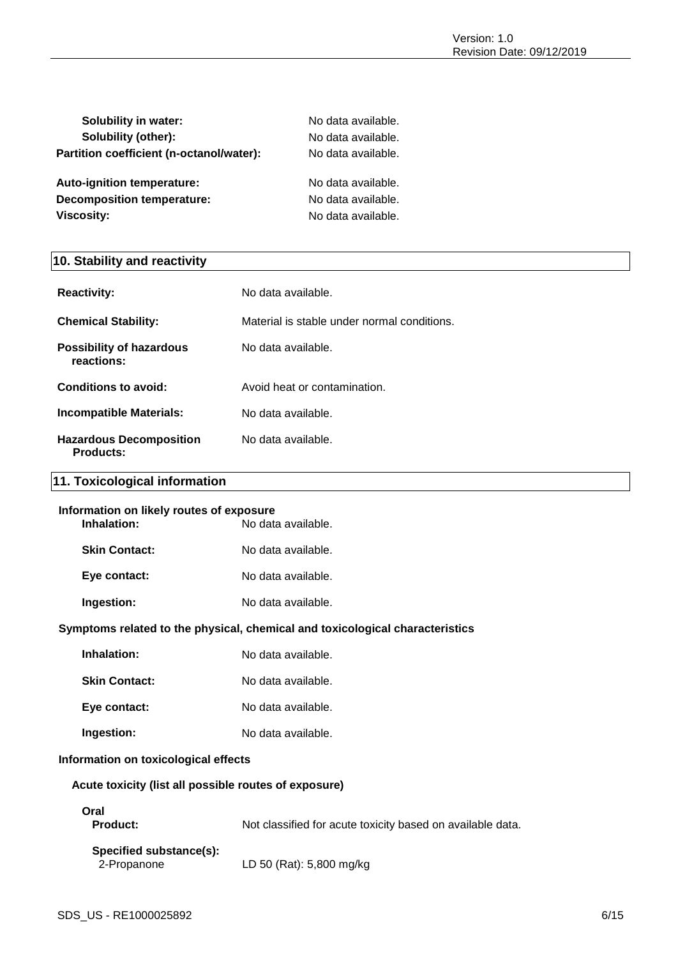| <b>Solubility in water:</b>              | No data available. |
|------------------------------------------|--------------------|
| Solubility (other):                      | No data available. |
| Partition coefficient (n-octanol/water): | No data available. |
| Auto-ignition temperature:               | No data available. |
| Decomposition temperature:               | No data available. |
| <b>Viscosity:</b>                        | No data available. |

### **10. Stability and reactivity**

| <b>Reactivity:</b>                                 | No data available.                          |
|----------------------------------------------------|---------------------------------------------|
| <b>Chemical Stability:</b>                         | Material is stable under normal conditions. |
| <b>Possibility of hazardous</b><br>reactions:      | No data available.                          |
| Conditions to avoid:                               | Avoid heat or contamination.                |
| <b>Incompatible Materials:</b>                     | No data available.                          |
| <b>Hazardous Decomposition</b><br><b>Products:</b> | No data available.                          |

### **11. Toxicological information**

| Information on likely routes of exposure<br>Inhalation:<br>No data available. |                    |
|-------------------------------------------------------------------------------|--------------------|
| <b>Skin Contact:</b>                                                          | No data available. |
|                                                                               |                    |
| Eye contact:                                                                  | No data available. |
| Ingestion:                                                                    | No data available. |
|                                                                               |                    |

### **Symptoms related to the physical, chemical and toxicological characteristics**

| Inhalation:          | No data available. |
|----------------------|--------------------|
| <b>Skin Contact:</b> | No data available. |

Eye contact: No data available.

**Ingestion:** No data available.

### **Information on toxicological effects**

### **Acute toxicity (list all possible routes of exposure)**

## **Oral**

| <b>Product:</b> | Not classified for acute toxicity based on available data. |
|-----------------|------------------------------------------------------------|
|-----------------|------------------------------------------------------------|

### **Specified substance(s):** 2-Propanone LD 50 (Rat): 5,800 mg/kg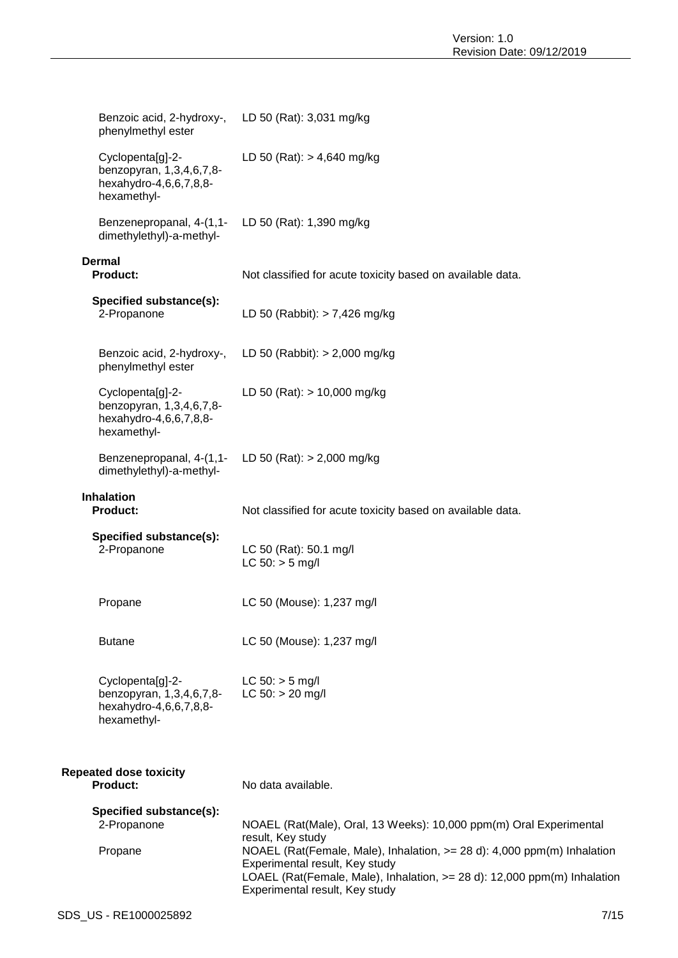| Benzoic acid, 2-hydroxy-, LD 50 (Rat): 3,031 mg/kg<br>phenylmethyl ester              |                                                                                                                                                                                                                         |
|---------------------------------------------------------------------------------------|-------------------------------------------------------------------------------------------------------------------------------------------------------------------------------------------------------------------------|
| Cyclopenta[g]-2-<br>benzopyran, 1,3,4,6,7,8-<br>hexahydro-4,6,6,7,8,8-<br>hexamethyl- | LD 50 (Rat): $> 4,640$ mg/kg                                                                                                                                                                                            |
| Benzenepropanal, 4-(1,1-<br>dimethylethyl)-a-methyl-                                  | LD 50 (Rat): 1,390 mg/kg                                                                                                                                                                                                |
| <b>Dermal</b><br><b>Product:</b>                                                      | Not classified for acute toxicity based on available data.                                                                                                                                                              |
| Specified substance(s):<br>2-Propanone                                                | LD 50 (Rabbit): $> 7,426$ mg/kg                                                                                                                                                                                         |
| Benzoic acid, 2-hydroxy-,<br>phenylmethyl ester                                       | LD 50 (Rabbit): $> 2,000$ mg/kg                                                                                                                                                                                         |
| Cyclopenta[g]-2-<br>benzopyran, 1,3,4,6,7,8-<br>hexahydro-4,6,6,7,8,8-<br>hexamethyl- | LD 50 (Rat): $> 10,000$ mg/kg                                                                                                                                                                                           |
| Benzenepropanal, 4-(1,1-<br>dimethylethyl)-a-methyl-                                  | LD 50 (Rat): $> 2,000$ mg/kg                                                                                                                                                                                            |
| <b>Inhalation</b><br><b>Product:</b>                                                  | Not classified for acute toxicity based on available data.                                                                                                                                                              |
| Specified substance(s):<br>2-Propanone                                                | LC 50 (Rat): 50.1 mg/l<br>$LC 50:$ > 5 mg/l                                                                                                                                                                             |
| Propane                                                                               | LC 50 (Mouse): 1,237 mg/l                                                                                                                                                                                               |
| <b>Butane</b>                                                                         | LC 50 (Mouse): 1,237 mg/l                                                                                                                                                                                               |
| Cyclopenta[g]-2-<br>benzopyran, 1,3,4,6,7,8-<br>hexahydro-4,6,6,7,8,8-<br>hexamethyl- | $LC 50: > 5$ mg/l<br>$LC 50: > 20$ mg/l                                                                                                                                                                                 |
| <b>Repeated dose toxicity</b><br><b>Product:</b>                                      | No data available.                                                                                                                                                                                                      |
| Specified substance(s):<br>2-Propanone                                                | NOAEL (Rat(Male), Oral, 13 Weeks): 10,000 ppm(m) Oral Experimental<br>result, Key study                                                                                                                                 |
| Propane                                                                               | NOAEL (Rat(Female, Male), Inhalation, >= 28 d): 4,000 ppm(m) Inhalation<br>Experimental result, Key study<br>LOAEL (Rat(Female, Male), Inhalation, >= 28 d): 12,000 ppm(m) Inhalation<br>Experimental result, Key study |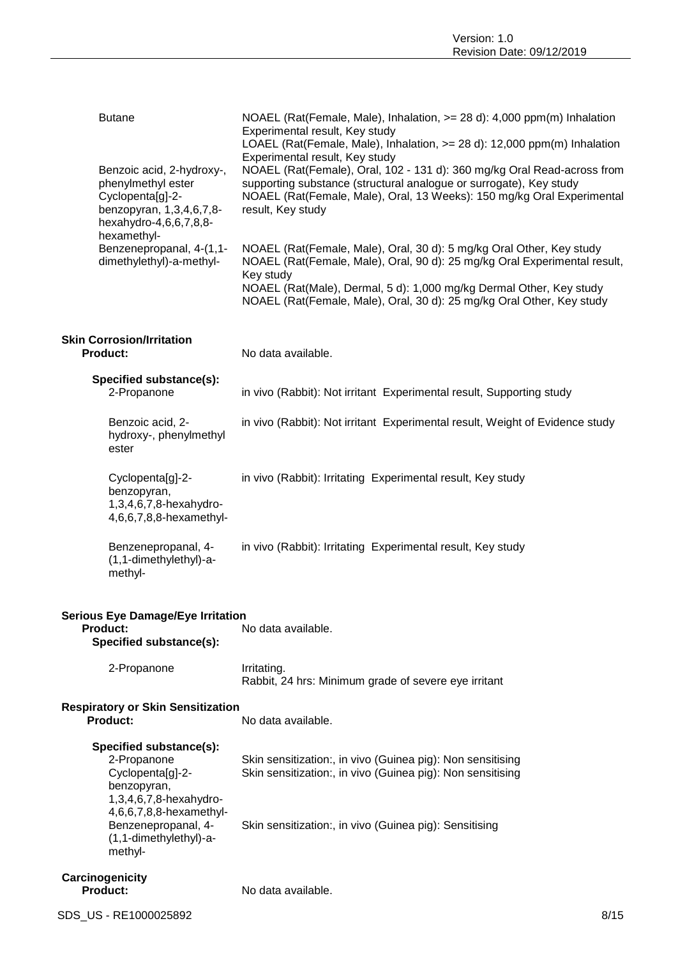| <b>Butane</b>                                                                                                                                                                   | NOAEL (Rat(Female, Male), Inhalation, >= 28 d): 4,000 ppm(m) Inhalation<br>Experimental result, Key study<br>LOAEL (Rat(Female, Male), Inhalation, >= 28 d): 12,000 ppm(m) Inhalation<br>Experimental result, Key study                                                                                        |
|---------------------------------------------------------------------------------------------------------------------------------------------------------------------------------|----------------------------------------------------------------------------------------------------------------------------------------------------------------------------------------------------------------------------------------------------------------------------------------------------------------|
| Benzoic acid, 2-hydroxy-,<br>phenylmethyl ester<br>Cyclopenta[g]-2-<br>benzopyran, 1,3,4,6,7,8-<br>hexahydro-4,6,6,7,8,8-<br>hexamethyl-                                        | NOAEL (Rat(Female), Oral, 102 - 131 d): 360 mg/kg Oral Read-across from<br>supporting substance (structural analogue or surrogate), Key study<br>NOAEL (Rat(Female, Male), Oral, 13 Weeks): 150 mg/kg Oral Experimental<br>result, Key study                                                                   |
| Benzenepropanal, 4-(1,1-<br>dimethylethyl)-a-methyl-                                                                                                                            | NOAEL (Rat(Female, Male), Oral, 30 d): 5 mg/kg Oral Other, Key study<br>NOAEL (Rat(Female, Male), Oral, 90 d): 25 mg/kg Oral Experimental result,<br>Key study<br>NOAEL (Rat(Male), Dermal, 5 d): 1,000 mg/kg Dermal Other, Key study<br>NOAEL (Rat(Female, Male), Oral, 30 d): 25 mg/kg Oral Other, Key study |
| <b>Skin Corrosion/Irritation</b><br><b>Product:</b>                                                                                                                             | No data available.                                                                                                                                                                                                                                                                                             |
| Specified substance(s):<br>2-Propanone                                                                                                                                          | in vivo (Rabbit): Not irritant Experimental result, Supporting study                                                                                                                                                                                                                                           |
| Benzoic acid, 2-<br>hydroxy-, phenylmethyl<br>ester                                                                                                                             | in vivo (Rabbit): Not irritant Experimental result, Weight of Evidence study                                                                                                                                                                                                                                   |
| Cyclopenta[g]-2-<br>benzopyran,<br>1,3,4,6,7,8-hexahydro-<br>4,6,6,7,8,8-hexamethyl-                                                                                            | in vivo (Rabbit): Irritating Experimental result, Key study                                                                                                                                                                                                                                                    |
| Benzenepropanal, 4-<br>(1,1-dimethylethyl)-a-<br>methyl-                                                                                                                        | in vivo (Rabbit): Irritating Experimental result, Key study                                                                                                                                                                                                                                                    |
| <b>Serious Eye Damage/Eye Irritation</b><br><b>Product:</b><br>Specified substance(s):                                                                                          | No data available.                                                                                                                                                                                                                                                                                             |
| 2-Propanone                                                                                                                                                                     | Irritating.<br>Rabbit, 24 hrs: Minimum grade of severe eye irritant                                                                                                                                                                                                                                            |
| <b>Respiratory or Skin Sensitization</b><br>Product:                                                                                                                            | No data available.                                                                                                                                                                                                                                                                                             |
| Specified substance(s):<br>2-Propanone<br>Cyclopenta[g]-2-<br>benzopyran,<br>1,3,4,6,7,8-hexahydro-<br>4,6,6,7,8,8-hexamethyl-<br>Benzenepropanal, 4-<br>(1,1-dimethylethyl)-a- | Skin sensitization:, in vivo (Guinea pig): Non sensitising<br>Skin sensitization:, in vivo (Guinea pig): Non sensitising<br>Skin sensitization:, in vivo (Guinea pig): Sensitising                                                                                                                             |
| methyl-<br>Carcinogenicity<br><b>Product:</b>                                                                                                                                   | No data available.                                                                                                                                                                                                                                                                                             |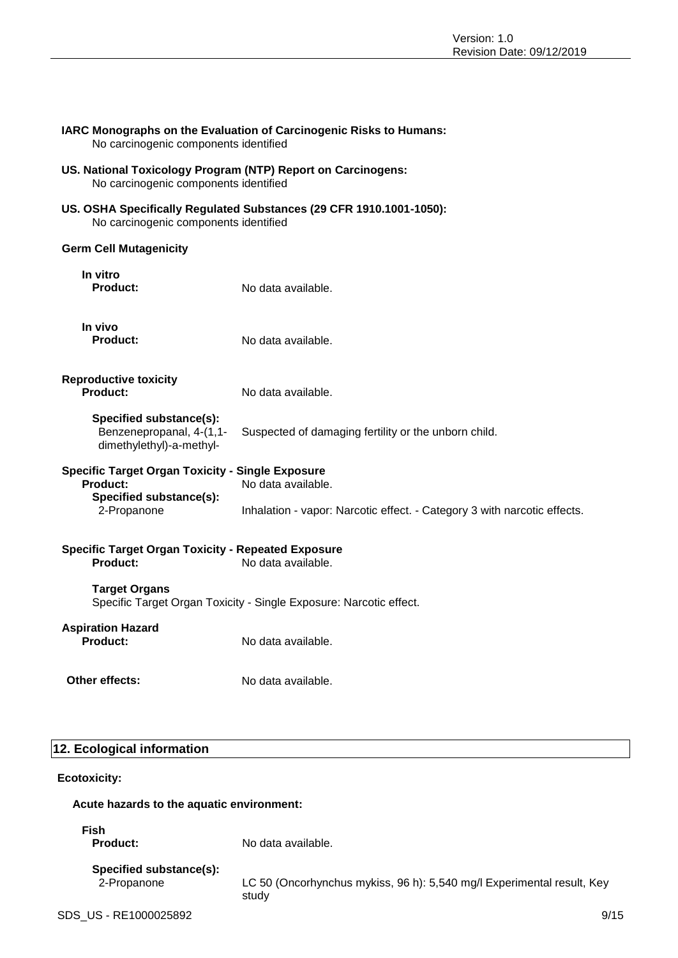### **IARC Monographs on the Evaluation of Carcinogenic Risks to Humans:** No carcinogenic components identified

- **US. National Toxicology Program (NTP) Report on Carcinogens:** No carcinogenic components identified
- **US. OSHA Specifically Regulated Substances (29 CFR 1910.1001-1050):** No carcinogenic components identified

### **Germ Cell Mutagenicity**

| In vitro<br><b>Product:</b>                                                                      | No data available.                                                       |
|--------------------------------------------------------------------------------------------------|--------------------------------------------------------------------------|
| In vivo<br>Product:                                                                              | No data available.                                                       |
| <b>Reproductive toxicity</b><br>Product:                                                         | No data available.                                                       |
| Specified substance(s):<br>Benzenepropanal, 4-(1,1-<br>dimethylethyl)-a-methyl-                  | Suspected of damaging fertility or the unborn child.                     |
| <b>Specific Target Organ Toxicity - Single Exposure</b><br>No data available.<br><b>Product:</b> |                                                                          |
| Specified substance(s):<br>2-Propanone                                                           | Inhalation - vapor: Narcotic effect. - Category 3 with narcotic effects. |
| <b>Specific Target Organ Toxicity - Repeated Exposure</b><br>Product:                            | No data available.                                                       |
| <b>Target Organs</b>                                                                             | Specific Target Organ Toxicity - Single Exposure: Narcotic effect.       |
| <b>Aspiration Hazard</b><br><b>Product:</b>                                                      | No data available.                                                       |

**Other effects:** No data available.

### **12. Ecological information**

**Ecotoxicity:**

### **Acute hazards to the aquatic environment:**

**Fish**

**Product:** No data available.

| Specified substance(s): |
|-------------------------|
| 2-Propanone             |

panone **LC 50 (Oncorhynchus mykiss, 96 h): 5,540 mg/l Experimental result, Key** study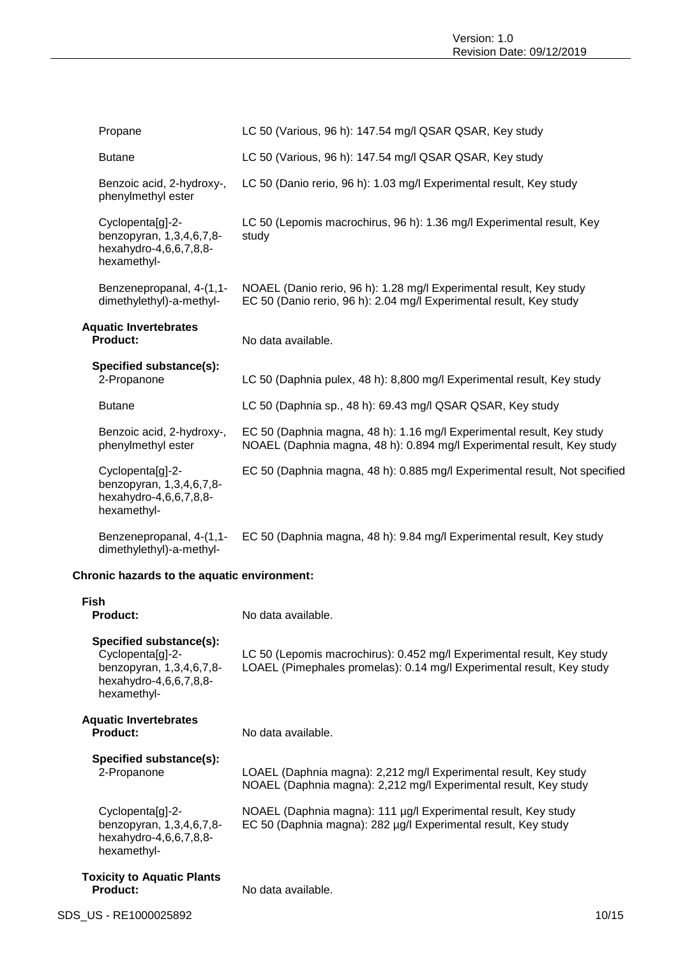| Propane                                                                               |       | LC 50 (Various, 96 h): 147.54 mg/l QSAR QSAR, Key study                                                                                         |
|---------------------------------------------------------------------------------------|-------|-------------------------------------------------------------------------------------------------------------------------------------------------|
| <b>Butane</b>                                                                         |       | LC 50 (Various, 96 h): 147.54 mg/l QSAR QSAR, Key study                                                                                         |
| Benzoic acid, 2-hydroxy-,<br>phenylmethyl ester                                       |       | LC 50 (Danio rerio, 96 h): 1.03 mg/l Experimental result, Key study                                                                             |
| Cyclopenta[g]-2-<br>benzopyran, 1,3,4,6,7,8-<br>hexahydro-4,6,6,7,8,8-<br>hexamethyl- | study | LC 50 (Lepomis macrochirus, 96 h): 1.36 mg/l Experimental result, Key                                                                           |
| Benzenepropanal, 4-(1,1-<br>dimethylethyl)-a-methyl-                                  |       | NOAEL (Danio rerio, 96 h): 1.28 mg/l Experimental result, Key study<br>EC 50 (Danio rerio, 96 h): 2.04 mg/l Experimental result, Key study      |
| <b>Aquatic Invertebrates</b><br><b>Product:</b>                                       |       | No data available.                                                                                                                              |
| Specified substance(s):<br>2-Propanone                                                |       | LC 50 (Daphnia pulex, 48 h): 8,800 mg/l Experimental result, Key study                                                                          |
| <b>Butane</b>                                                                         |       | LC 50 (Daphnia sp., 48 h): 69.43 mg/l QSAR QSAR, Key study                                                                                      |
| Benzoic acid, 2-hydroxy-,<br>phenylmethyl ester                                       |       | EC 50 (Daphnia magna, 48 h): 1.16 mg/l Experimental result, Key study<br>NOAEL (Daphnia magna, 48 h): 0.894 mg/l Experimental result, Key study |
| Cyclopenta[g]-2-<br>benzopyran, 1,3,4,6,7,8-<br>hexahydro-4,6,6,7,8,8-<br>hexamethyl- |       | EC 50 (Daphnia magna, 48 h): 0.885 mg/l Experimental result, Not specified                                                                      |
| Benzenepropanal, 4-(1,1-<br>dimethylethyl)-a-methyl-                                  |       | EC 50 (Daphnia magna, 48 h): 9.84 mg/l Experimental result, Key study                                                                           |

### **Chronic hazards to the aquatic environment:**

| Fish<br><b>Product:</b>                                                                                          | No data available.                                                                                                                              |
|------------------------------------------------------------------------------------------------------------------|-------------------------------------------------------------------------------------------------------------------------------------------------|
| Specified substance(s):<br>Cyclopenta[g]-2-<br>benzopyran, 1,3,4,6,7,8-<br>hexahydro-4,6,6,7,8,8-<br>hexamethyl- | LC 50 (Lepomis macrochirus): 0.452 mg/l Experimental result, Key study<br>LOAEL (Pimephales promelas): 0.14 mg/l Experimental result, Key study |
| <b>Aquatic Invertebrates</b><br><b>Product:</b>                                                                  | No data available.                                                                                                                              |
| Specified substance(s):<br>2-Propanone                                                                           | LOAEL (Daphnia magna): 2,212 mg/l Experimental result, Key study<br>NOAEL (Daphnia magna): 2,212 mg/l Experimental result, Key study            |
| Cyclopenta[g]-2-<br>benzopyran, 1,3,4,6,7,8-<br>hexahydro-4,6,6,7,8,8-<br>hexamethyl-                            | NOAEL (Daphnia magna): 111 µg/l Experimental result, Key study<br>EC 50 (Daphnia magna): 282 µg/l Experimental result, Key study                |
| <b>Toxicity to Aquatic Plants</b><br><b>Product:</b>                                                             | No data available.                                                                                                                              |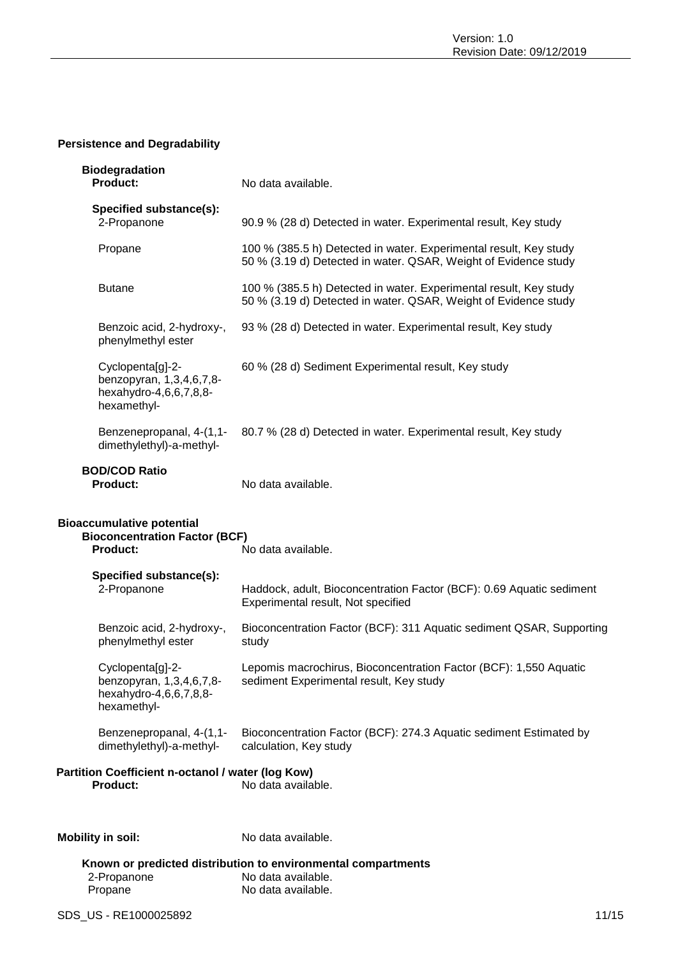### **Persistence and Degradability**

| <b>Biodegradation</b><br><b>Product:</b>                                                    | No data available.                                                                                                                   |
|---------------------------------------------------------------------------------------------|--------------------------------------------------------------------------------------------------------------------------------------|
| Specified substance(s):<br>2-Propanone                                                      | 90.9 % (28 d) Detected in water. Experimental result, Key study                                                                      |
| Propane                                                                                     | 100 % (385.5 h) Detected in water. Experimental result, Key study<br>50 % (3.19 d) Detected in water. QSAR, Weight of Evidence study |
| <b>Butane</b>                                                                               | 100 % (385.5 h) Detected in water. Experimental result, Key study<br>50 % (3.19 d) Detected in water. QSAR, Weight of Evidence study |
| Benzoic acid, 2-hydroxy-,<br>phenylmethyl ester                                             | 93 % (28 d) Detected in water. Experimental result, Key study                                                                        |
| Cyclopenta[g]-2-<br>benzopyran, 1,3,4,6,7,8-<br>hexahydro-4,6,6,7,8,8-<br>hexamethyl-       | 60 % (28 d) Sediment Experimental result, Key study                                                                                  |
| Benzenepropanal, 4-(1,1-<br>dimethylethyl)-a-methyl-                                        | 80.7 % (28 d) Detected in water. Experimental result, Key study                                                                      |
| <b>BOD/COD Ratio</b><br><b>Product:</b>                                                     | No data available.                                                                                                                   |
| <b>Bioaccumulative potential</b><br><b>Bioconcentration Factor (BCF)</b><br><b>Product:</b> | No data available.                                                                                                                   |
| Specified substance(s):<br>2-Propanone                                                      | Haddock, adult, Bioconcentration Factor (BCF): 0.69 Aquatic sediment<br>Experimental result, Not specified                           |
| Benzoic acid, 2-hydroxy-,<br>phenylmethyl ester                                             | Bioconcentration Factor (BCF): 311 Aquatic sediment QSAR, Supporting<br>study                                                        |
| Cyclopenta[g]-2-<br>benzopyran, 1,3,4,6,7,8-<br>hexahydro-4,6,6,7,8,8-<br>hexamethyl-       | Lepomis macrochirus, Bioconcentration Factor (BCF): 1,550 Aquatic<br>sediment Experimental result, Key study                         |
| Benzenepropanal, 4-(1,1-<br>dimethylethyl)-a-methyl-                                        | Bioconcentration Factor (BCF): 274.3 Aquatic sediment Estimated by<br>calculation, Key study                                         |
| Partition Coefficient n-octanol / water (log Kow)<br><b>Product:</b>                        | No data available.                                                                                                                   |
| <b>Mobility in soil:</b>                                                                    | No data available.                                                                                                                   |
| 2-Propanone<br>Propane                                                                      | Known or predicted distribution to environmental compartments<br>No data available.<br>No data available.                            |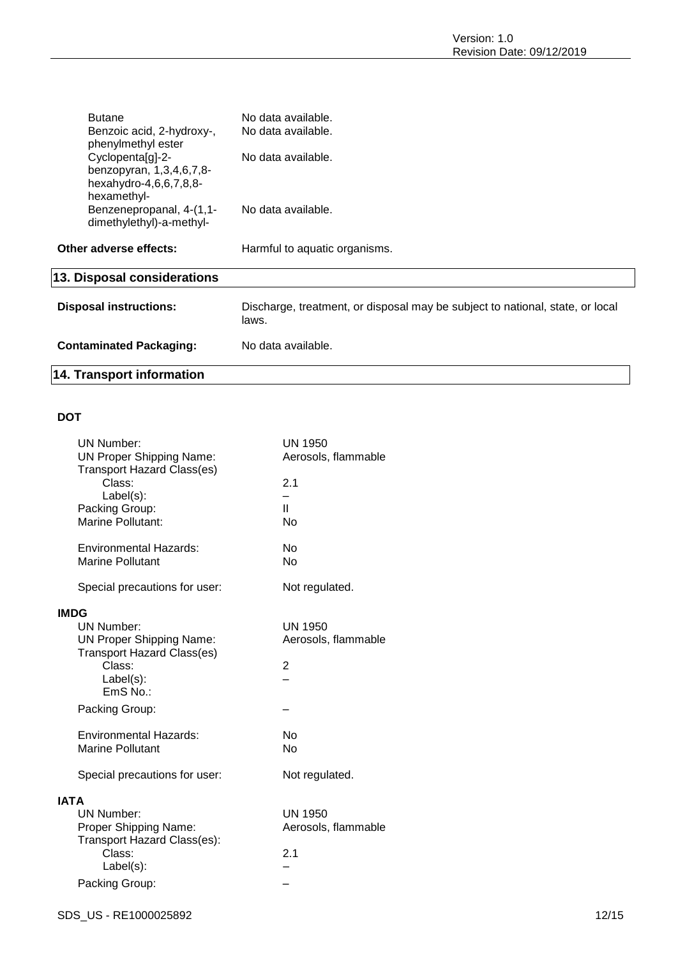| <b>Butane</b><br>Benzoic acid, 2-hydroxy-,                                            | No data available.<br>No data available.                                               |
|---------------------------------------------------------------------------------------|----------------------------------------------------------------------------------------|
| phenylmethyl ester                                                                    |                                                                                        |
| Cyclopenta[g]-2-<br>benzopyran, 1,3,4,6,7,8-<br>hexahydro-4,6,6,7,8,8-<br>hexamethyl- | No data available.                                                                     |
| Benzenepropanal, 4-(1,1-<br>dimethylethyl)-a-methyl-                                  | No data available.                                                                     |
| Other adverse effects:                                                                | Harmful to aquatic organisms.                                                          |
| 13. Disposal considerations                                                           |                                                                                        |
| <b>Disposal instructions:</b>                                                         | Discharge, treatment, or disposal may be subject to national, state, or local<br>laws. |
| <b>Contaminated Packaging:</b>                                                        | No data available.                                                                     |
| <b>14. Transport information</b>                                                      |                                                                                        |

### **DOT**

|             | <b>UN Number:</b>                                                    | <b>UN 1950</b>      |
|-------------|----------------------------------------------------------------------|---------------------|
|             | <b>UN Proper Shipping Name:</b>                                      | Aerosols, flammable |
|             | <b>Transport Hazard Class(es)</b><br>Class:                          | 2.1                 |
|             | $Label(s)$ :                                                         |                     |
|             | Packing Group:                                                       | $\mathbf{H}$        |
|             | Marine Pollutant:                                                    | <b>No</b>           |
|             | <b>Environmental Hazards:</b>                                        | <b>No</b>           |
|             | <b>Marine Pollutant</b>                                              | <b>No</b>           |
|             | Special precautions for user:                                        | Not regulated.      |
| <b>IMDG</b> |                                                                      |                     |
|             | <b>UN Number:</b>                                                    | <b>UN 1950</b>      |
|             | <b>UN Proper Shipping Name:</b><br><b>Transport Hazard Class(es)</b> | Aerosols, flammable |
|             | Class:                                                               | 2                   |
|             | Label(s):                                                            |                     |
|             | $EmS$ No.:                                                           |                     |
|             | Packing Group:                                                       |                     |
|             | <b>Environmental Hazards:</b>                                        | No                  |
|             | <b>Marine Pollutant</b>                                              | <b>No</b>           |
|             | Special precautions for user:                                        | Not regulated.      |
| <b>IATA</b> |                                                                      |                     |
|             | <b>UN Number:</b>                                                    | <b>UN 1950</b>      |
|             | Proper Shipping Name:<br>Transport Hazard Class(es):                 | Aerosols, flammable |
|             | Class:                                                               | 2.1                 |
|             | Label(s):                                                            |                     |
|             | Packing Group:                                                       |                     |
|             |                                                                      |                     |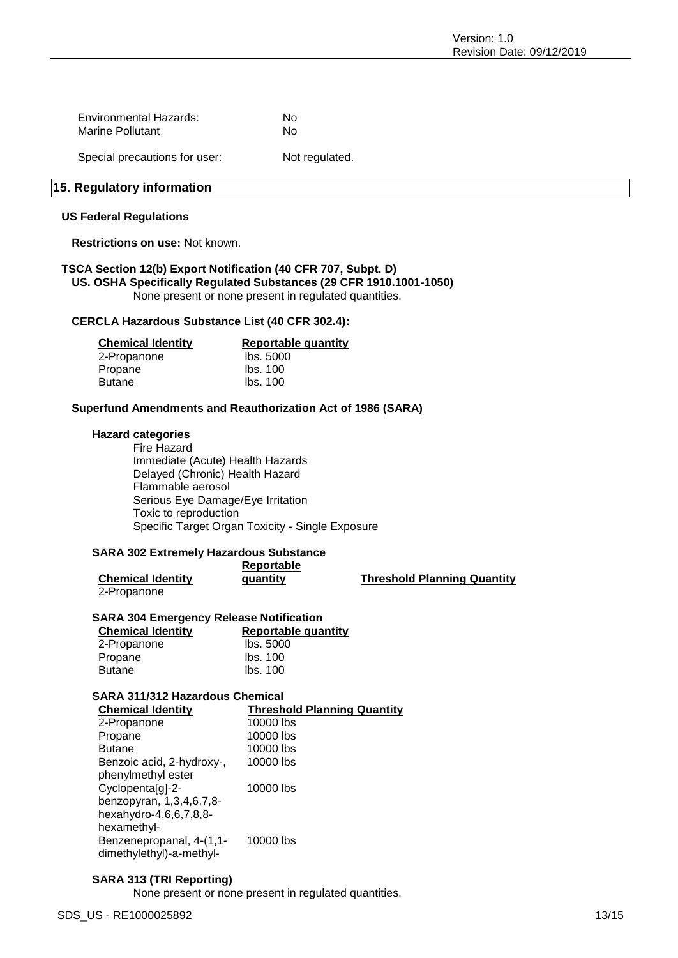| Environmental Hazards: | Nο |
|------------------------|----|
| Marine Pollutant       | Nο |

Special precautions for user: Not regulated.

### **15. Regulatory information**

#### **US Federal Regulations**

**Restrictions on use:** Not known.

### **TSCA Section 12(b) Export Notification (40 CFR 707, Subpt. D) US. OSHA Specifically Regulated Substances (29 CFR 1910.1001-1050)**

None present or none present in regulated quantities.

### **CERCLA Hazardous Substance List (40 CFR 302.4):**

| <b>Chemical Identity</b> | <b>Reportable quantity</b> |  |
|--------------------------|----------------------------|--|
| 2-Propanone              | lbs. 5000                  |  |
| Propane                  | lbs. 100                   |  |
| Butane                   | lbs. 100                   |  |

### **Superfund Amendments and Reauthorization Act of 1986 (SARA)**

### **Hazard categories**

Fire Hazard Immediate (Acute) Health Hazards Delayed (Chronic) Health Hazard Flammable aerosol Serious Eye Damage/Eye Irritation Toxic to reproduction Specific Target Organ Toxicity - Single Exposure

### **SARA 302 Extremely Hazardous Substance**

|                          | Reportable |                                    |
|--------------------------|------------|------------------------------------|
| <b>Chemical Identity</b> | quantity   | <b>Threshold Planning Quantity</b> |
| 2-Propanone              |            |                                    |

### **SARA 304 Emergency Release Notification**

| <b>Reportable quantity</b> |  |
|----------------------------|--|
| lbs. 5000                  |  |
| lbs. 100                   |  |
| Ibs. 100                   |  |
|                            |  |

### **SARA 311/312 Hazardous Chemical**

| <b>Chemical Identity</b>  | <b>Threshold Planning Quantity</b> |
|---------------------------|------------------------------------|
| 2-Propanone               | 10000 lbs                          |
| Propane                   | 10000 lbs                          |
| <b>Butane</b>             | 10000 lbs                          |
| Benzoic acid, 2-hydroxy-, | 10000 lbs                          |
| phenylmethyl ester        |                                    |
| Cyclopenta[g]-2-          | 10000 lbs                          |
| benzopyran, 1,3,4,6,7,8-  |                                    |
| hexahydro-4,6,6,7,8,8-    |                                    |
| hexamethyl-               |                                    |
| Benzenepropanal, 4-(1,1-  | 10000 lbs                          |
| dimethylethyl)-a-methyl-  |                                    |

### **SARA 313 (TRI Reporting)**

None present or none present in regulated quantities.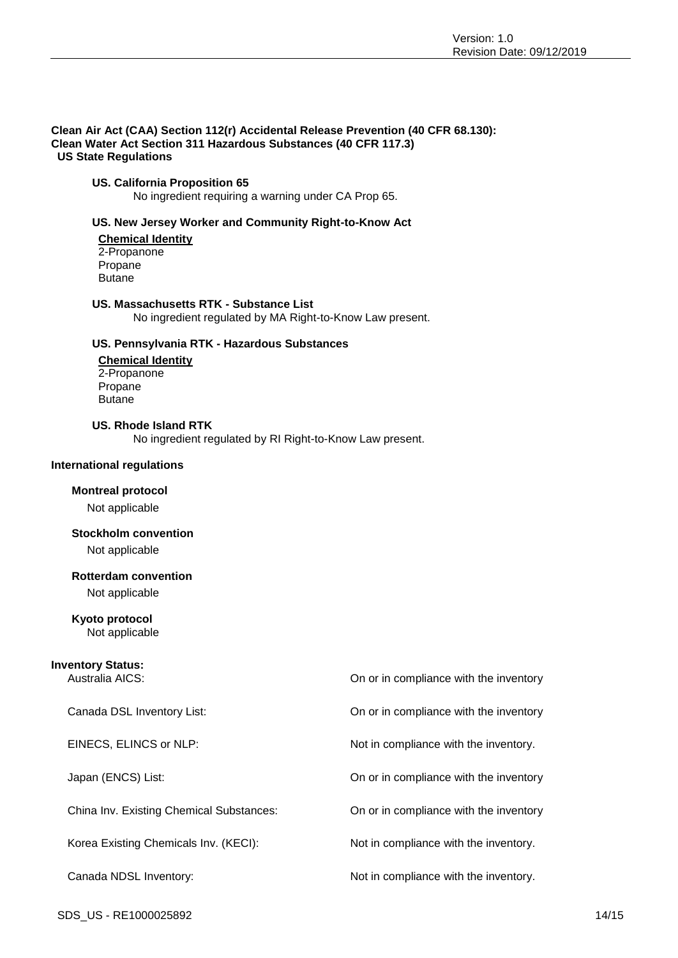#### **Clean Air Act (CAA) Section 112(r) Accidental Release Prevention (40 CFR 68.130): Clean Water Act Section 311 Hazardous Substances (40 CFR 117.3) US State Regulations**

### **US. California Proposition 65**

No ingredient requiring a warning under CA Prop 65.

### **US. New Jersey Worker and Community Right-to-Know Act**

**Chemical Identity** 2-Propanone Propane Butane

#### **US. Massachusetts RTK - Substance List**

No ingredient regulated by MA Right-to-Know Law present.

### **US. Pennsylvania RTK - Hazardous Substances**

**Chemical Identity** 2-Propanone Propane Butane

#### **US. Rhode Island RTK**

No ingredient regulated by RI Right-to-Know Law present.

#### **International regulations**

### **Montreal protocol**

Not applicable

### **Stockholm convention**

Not applicable

### **Rotterdam convention**

Not applicable

### **Kyoto protocol**

Not applicable

### **Inventory Status:**

Australia AICS: On or in compliance with the inventory

Canada DSL Inventory List: On or in compliance with the inventory EINECS, ELINCS or NLP: Not in compliance with the inventory. Japan (ENCS) List: On or in compliance with the inventory China Inv. Existing Chemical Substances: On or in compliance with the inventory Korea Existing Chemicals Inv. (KECI): Not in compliance with the inventory. Canada NDSL Inventory:  $\blacksquare$  Not in compliance with the inventory.